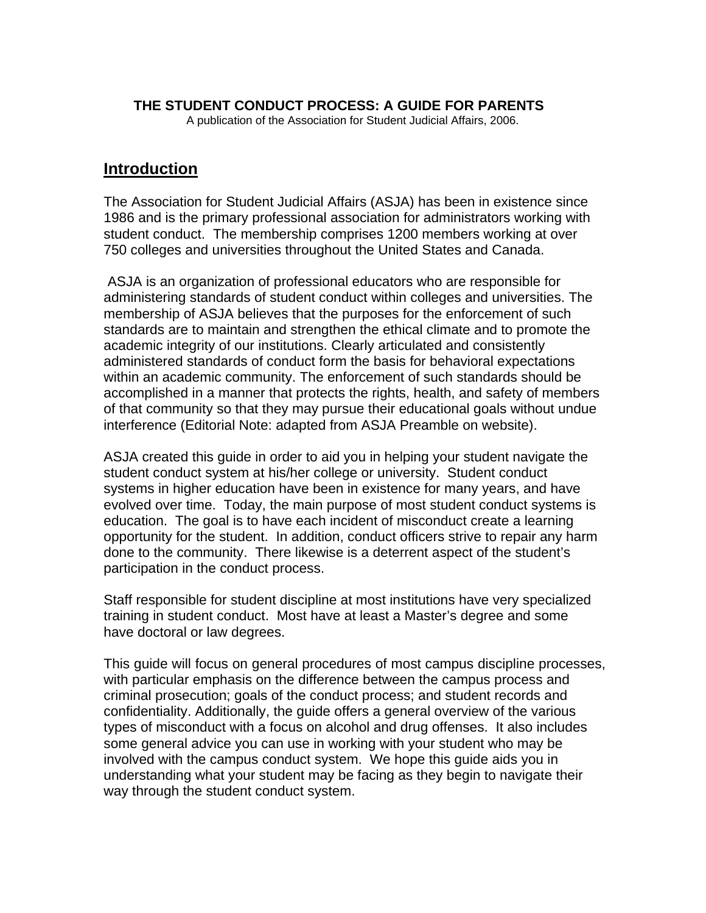#### **THE STUDENT CONDUCT PROCESS: A GUIDE FOR PARENTS**

A publication of the Association for Student Judicial Affairs, 2006.

## **Introduction**

The Association for Student Judicial Affairs (ASJA) has been in existence since 1986 and is the primary professional association for administrators working with student conduct. The membership comprises 1200 members working at over 750 colleges and universities throughout the United States and Canada.

 ASJA is an organization of professional educators who are responsible for administering standards of student conduct within colleges and universities. The membership of ASJA believes that the purposes for the enforcement of such standards are to maintain and strengthen the ethical climate and to promote the academic integrity of our institutions. Clearly articulated and consistently administered standards of conduct form the basis for behavioral expectations within an academic community. The enforcement of such standards should be accomplished in a manner that protects the rights, health, and safety of members of that community so that they may pursue their educational goals without undue interference (Editorial Note: adapted from ASJA Preamble on website).

ASJA created this guide in order to aid you in helping your student navigate the student conduct system at his/her college or university. Student conduct systems in higher education have been in existence for many years, and have evolved over time. Today, the main purpose of most student conduct systems is education. The goal is to have each incident of misconduct create a learning opportunity for the student. In addition, conduct officers strive to repair any harm done to the community. There likewise is a deterrent aspect of the student's participation in the conduct process.

Staff responsible for student discipline at most institutions have very specialized training in student conduct. Most have at least a Master's degree and some have doctoral or law degrees.

This guide will focus on general procedures of most campus discipline processes, with particular emphasis on the difference between the campus process and criminal prosecution; goals of the conduct process; and student records and confidentiality. Additionally, the guide offers a general overview of the various types of misconduct with a focus on alcohol and drug offenses. It also includes some general advice you can use in working with your student who may be involved with the campus conduct system. We hope this guide aids you in understanding what your student may be facing as they begin to navigate their way through the student conduct system.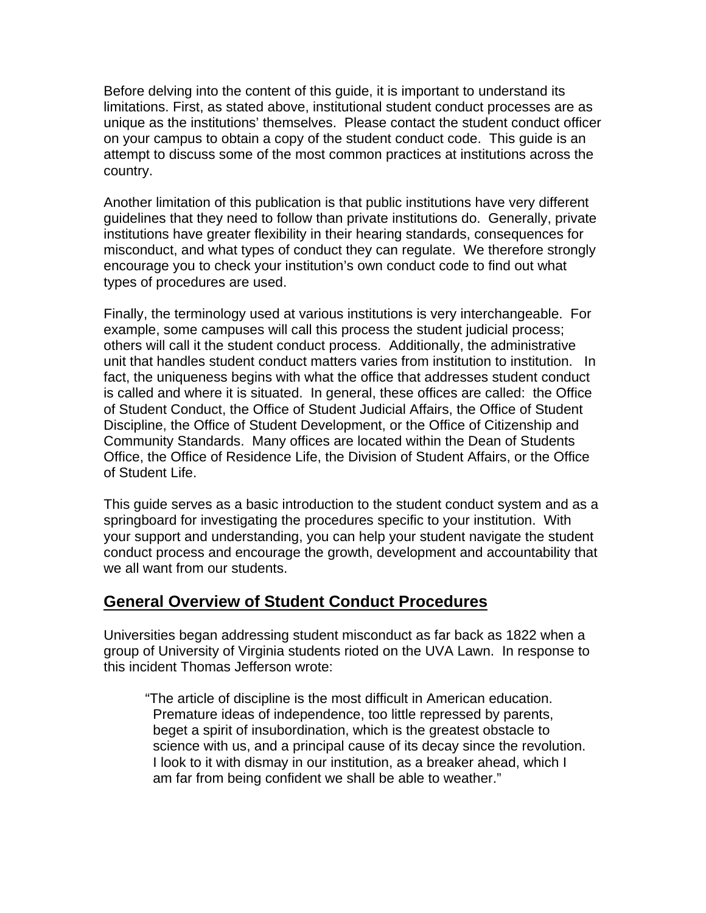Before delving into the content of this guide, it is important to understand its limitations. First, as stated above, institutional student conduct processes are as unique as the institutions' themselves. Please contact the student conduct officer on your campus to obtain a copy of the student conduct code. This guide is an attempt to discuss some of the most common practices at institutions across the country.

Another limitation of this publication is that public institutions have very different guidelines that they need to follow than private institutions do. Generally, private institutions have greater flexibility in their hearing standards, consequences for misconduct, and what types of conduct they can regulate. We therefore strongly encourage you to check your institution's own conduct code to find out what types of procedures are used.

Finally, the terminology used at various institutions is very interchangeable. For example, some campuses will call this process the student judicial process; others will call it the student conduct process. Additionally, the administrative unit that handles student conduct matters varies from institution to institution. In fact, the uniqueness begins with what the office that addresses student conduct is called and where it is situated. In general, these offices are called: the Office of Student Conduct, the Office of Student Judicial Affairs, the Office of Student Discipline, the Office of Student Development, or the Office of Citizenship and Community Standards. Many offices are located within the Dean of Students Office, the Office of Residence Life, the Division of Student Affairs, or the Office of Student Life.

This guide serves as a basic introduction to the student conduct system and as a springboard for investigating the procedures specific to your institution. With your support and understanding, you can help your student navigate the student conduct process and encourage the growth, development and accountability that we all want from our students.

## **General Overview of Student Conduct Procedures**

Universities began addressing student misconduct as far back as 1822 when a group of University of Virginia students rioted on the UVA Lawn. In response to this incident Thomas Jefferson wrote:

"The article of discipline is the most difficult in American education. Premature ideas of independence, too little repressed by parents, beget a spirit of insubordination, which is the greatest obstacle to science with us, and a principal cause of its decay since the revolution. I look to it with dismay in our institution, as a breaker ahead, which I am far from being confident we shall be able to weather."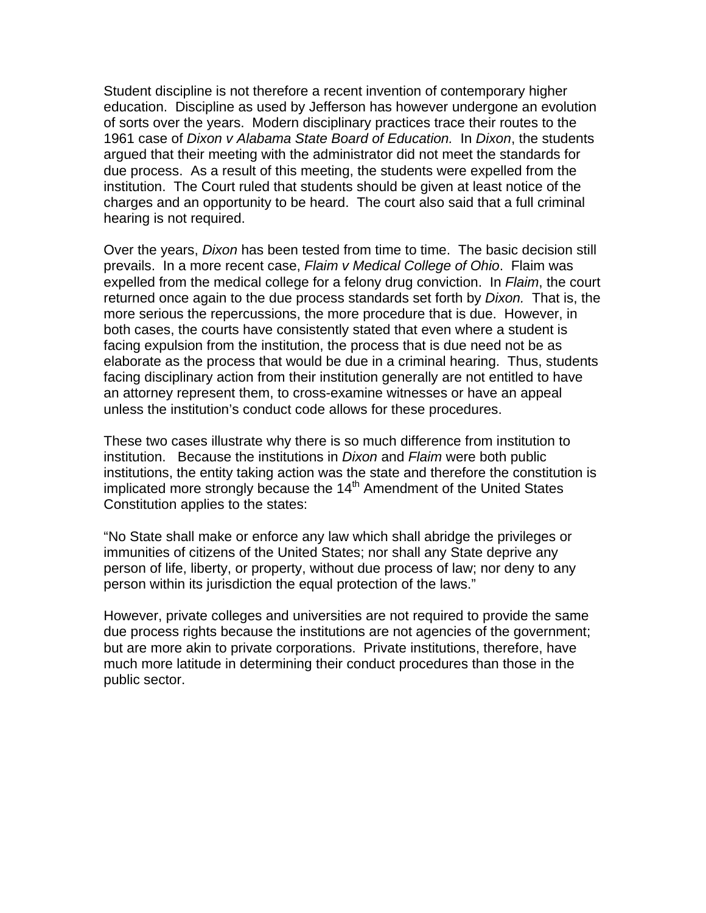Student discipline is not therefore a recent invention of contemporary higher education. Discipline as used by Jefferson has however undergone an evolution of sorts over the years. Modern disciplinary practices trace their routes to the 1961 case of *Dixon v Alabama State Board of Education.* In *Dixon*, the students argued that their meeting with the administrator did not meet the standards for due process. As a result of this meeting, the students were expelled from the institution. The Court ruled that students should be given at least notice of the charges and an opportunity to be heard. The court also said that a full criminal hearing is not required.

Over the years, *Dixon* has been tested from time to time. The basic decision still prevails. In a more recent case, *Flaim v Medical College of Ohio*. Flaim was expelled from the medical college for a felony drug conviction. In *Flaim*, the court returned once again to the due process standards set forth by *Dixon.* That is, the more serious the repercussions, the more procedure that is due. However, in both cases, the courts have consistently stated that even where a student is facing expulsion from the institution, the process that is due need not be as elaborate as the process that would be due in a criminal hearing. Thus, students facing disciplinary action from their institution generally are not entitled to have an attorney represent them, to cross-examine witnesses or have an appeal unless the institution's conduct code allows for these procedures.

These two cases illustrate why there is so much difference from institution to institution. Because the institutions in *Dixon* and *Flaim* were both public institutions, the entity taking action was the state and therefore the constitution is implicated more strongly because the 14<sup>th</sup> Amendment of the United States Constitution applies to the states:

"No State shall make or enforce any law which shall abridge the privileges or immunities of citizens of the United States; nor shall any State deprive any person of life, liberty, or property, without due process of law; nor deny to any person within its jurisdiction the equal protection of the laws."

However, private colleges and universities are not required to provide the same due process rights because the institutions are not agencies of the government; but are more akin to private corporations. Private institutions, therefore, have much more latitude in determining their conduct procedures than those in the public sector.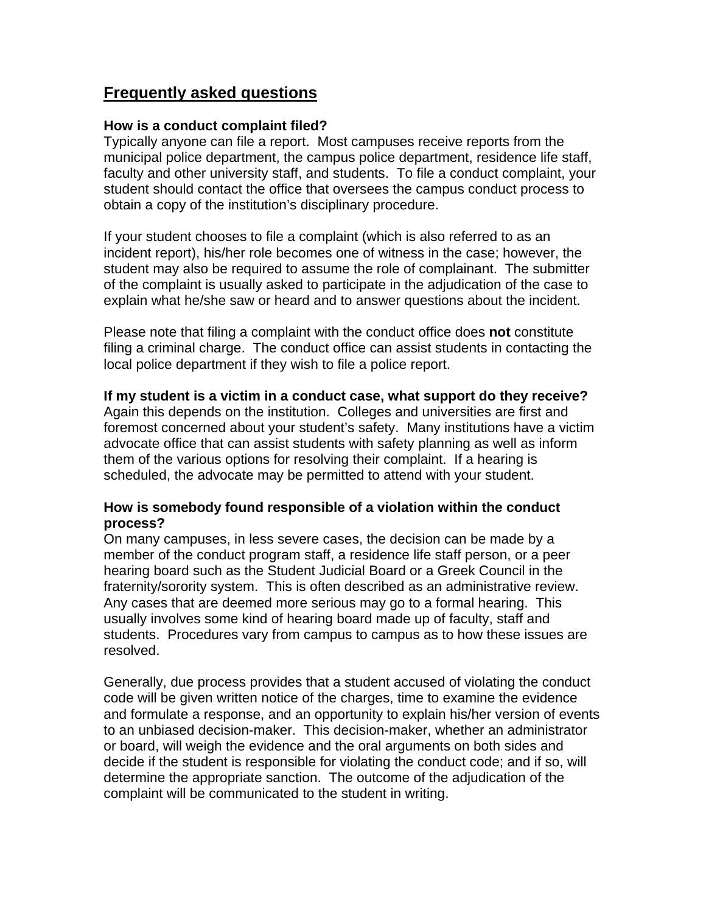## **Frequently asked questions**

#### **How is a conduct complaint filed?**

Typically anyone can file a report. Most campuses receive reports from the municipal police department, the campus police department, residence life staff, faculty and other university staff, and students. To file a conduct complaint, your student should contact the office that oversees the campus conduct process to obtain a copy of the institution's disciplinary procedure.

If your student chooses to file a complaint (which is also referred to as an incident report), his/her role becomes one of witness in the case; however, the student may also be required to assume the role of complainant. The submitter of the complaint is usually asked to participate in the adjudication of the case to explain what he/she saw or heard and to answer questions about the incident.

Please note that filing a complaint with the conduct office does **not** constitute filing a criminal charge. The conduct office can assist students in contacting the local police department if they wish to file a police report.

#### **If my student is a victim in a conduct case, what support do they receive?**

Again this depends on the institution. Colleges and universities are first and foremost concerned about your student's safety. Many institutions have a victim advocate office that can assist students with safety planning as well as inform them of the various options for resolving their complaint. If a hearing is scheduled, the advocate may be permitted to attend with your student.

#### **How is somebody found responsible of a violation within the conduct process?**

On many campuses, in less severe cases, the decision can be made by a member of the conduct program staff, a residence life staff person, or a peer hearing board such as the Student Judicial Board or a Greek Council in the fraternity/sorority system. This is often described as an administrative review. Any cases that are deemed more serious may go to a formal hearing. This usually involves some kind of hearing board made up of faculty, staff and students. Procedures vary from campus to campus as to how these issues are resolved.

Generally, due process provides that a student accused of violating the conduct code will be given written notice of the charges, time to examine the evidence and formulate a response, and an opportunity to explain his/her version of events to an unbiased decision-maker. This decision-maker, whether an administrator or board, will weigh the evidence and the oral arguments on both sides and decide if the student is responsible for violating the conduct code; and if so, will determine the appropriate sanction. The outcome of the adjudication of the complaint will be communicated to the student in writing.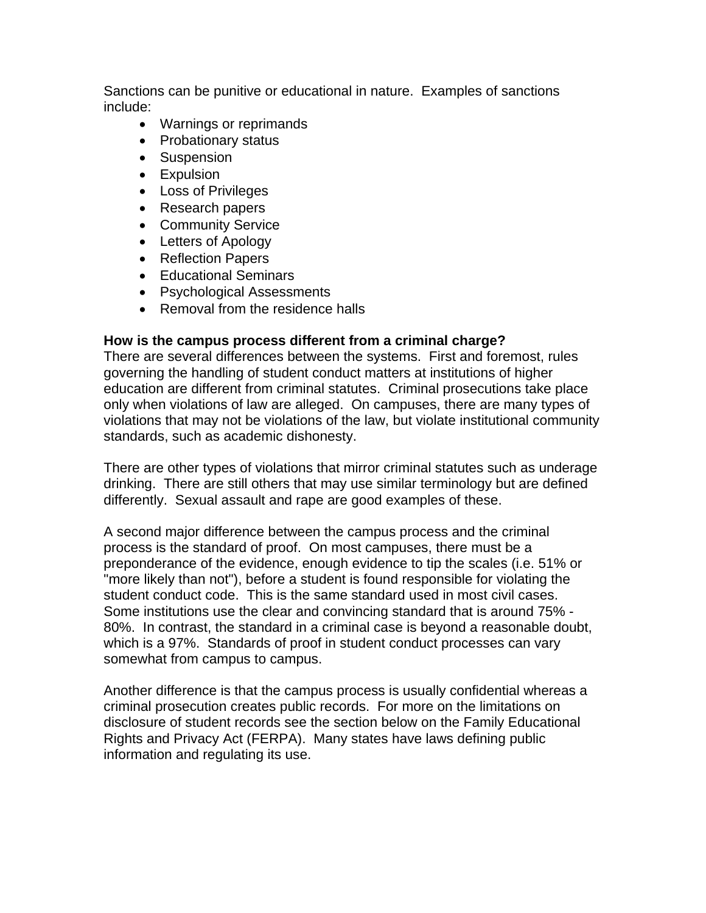Sanctions can be punitive or educational in nature. Examples of sanctions include:

- Warnings or reprimands
- Probationary status
- Suspension
- Expulsion
- Loss of Privileges
- Research papers
- Community Service
- Letters of Apology
- Reflection Papers
- Educational Seminars
- Psychological Assessments
- Removal from the residence halls

#### **How is the campus process different from a criminal charge?**

There are several differences between the systems. First and foremost, rules governing the handling of student conduct matters at institutions of higher education are different from criminal statutes. Criminal prosecutions take place only when violations of law are alleged. On campuses, there are many types of violations that may not be violations of the law, but violate institutional community standards, such as academic dishonesty.

There are other types of violations that mirror criminal statutes such as underage drinking. There are still others that may use similar terminology but are defined differently. Sexual assault and rape are good examples of these.

A second major difference between the campus process and the criminal process is the standard of proof. On most campuses, there must be a preponderance of the evidence, enough evidence to tip the scales (i.e. 51% or "more likely than not"), before a student is found responsible for violating the student conduct code. This is the same standard used in most civil cases. Some institutions use the clear and convincing standard that is around 75% - 80%. In contrast, the standard in a criminal case is beyond a reasonable doubt, which is a 97%. Standards of proof in student conduct processes can vary somewhat from campus to campus.

Another difference is that the campus process is usually confidential whereas a criminal prosecution creates public records. For more on the limitations on disclosure of student records see the section below on the Family Educational Rights and Privacy Act (FERPA). Many states have laws defining public information and regulating its use.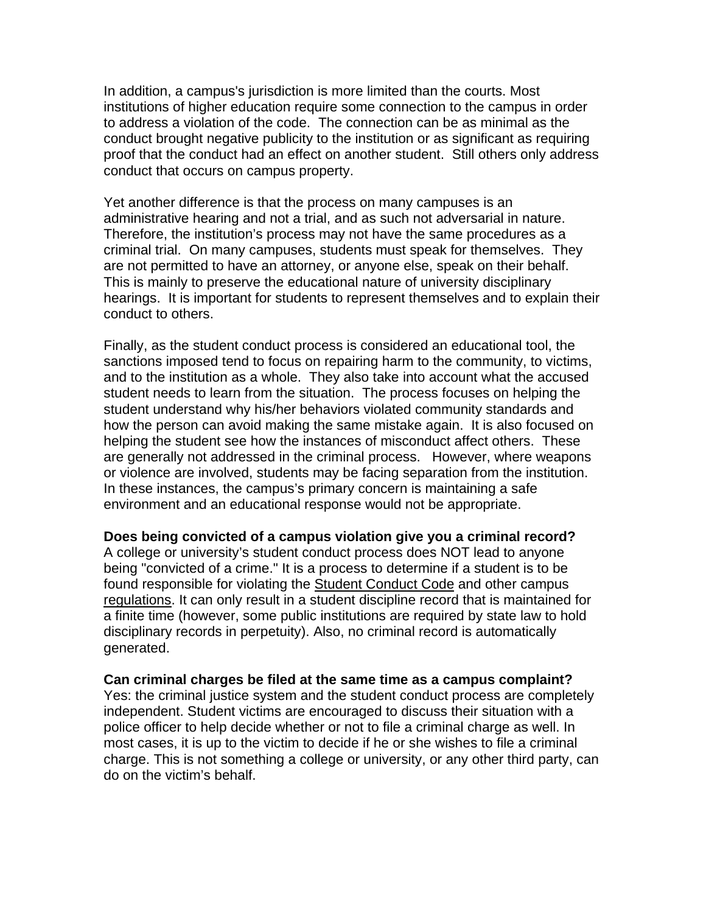In addition, a campus's jurisdiction is more limited than the courts. Most institutions of higher education require some connection to the campus in order to address a violation of the code. The connection can be as minimal as the conduct brought negative publicity to the institution or as significant as requiring proof that the conduct had an effect on another student. Still others only address conduct that occurs on campus property.

Yet another difference is that the process on many campuses is an administrative hearing and not a trial, and as such not adversarial in nature. Therefore, the institution's process may not have the same procedures as a criminal trial. On many campuses, students must speak for themselves. They are not permitted to have an attorney, or anyone else, speak on their behalf. This is mainly to preserve the educational nature of university disciplinary hearings. It is important for students to represent themselves and to explain their conduct to others.

Finally, as the student conduct process is considered an educational tool, the sanctions imposed tend to focus on repairing harm to the community, to victims, and to the institution as a whole. They also take into account what the accused student needs to learn from the situation. The process focuses on helping the student understand why his/her behaviors violated community standards and how the person can avoid making the same mistake again. It is also focused on helping the student see how the instances of misconduct affect others. These are generally not addressed in the criminal process. However, where weapons or violence are involved, students may be facing separation from the institution. In these instances, the campus's primary concern is maintaining a safe environment and an educational response would not be appropriate.

**Does being convicted of a campus violation give you a criminal record?**

A college or university's student conduct process does NOT lead to anyone being "convicted of a crime." It is a process to determine if a student is to be found responsible for violating the Student Conduct Code and other campus regulations. It can only result in a student discipline record that is maintained for a finite time (however, some public institutions are required by state law to hold disciplinary records in perpetuity). Also, no criminal record is automatically generated.

#### **Can criminal charges be filed at the same time as a campus complaint?**

Yes: the criminal justice system and the student conduct process are completely independent. Student victims are encouraged to discuss their situation with a police officer to help decide whether or not to file a criminal charge as well. In most cases, it is up to the victim to decide if he or she wishes to file a criminal charge. This is not something a college or university, or any other third party, can do on the victim's behalf.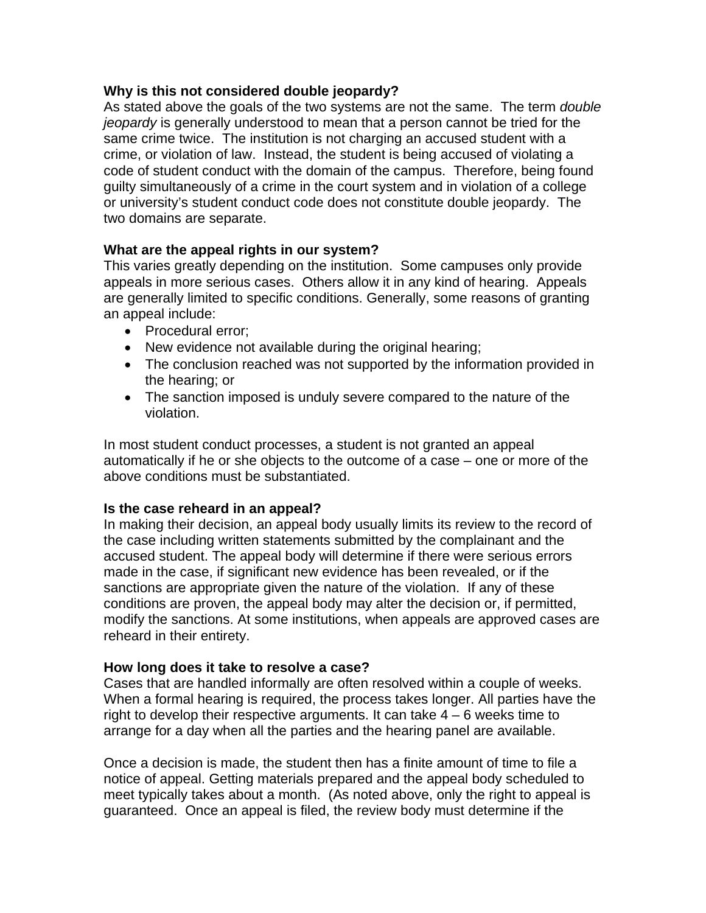#### **Why is this not considered double jeopardy?**

As stated above the goals of the two systems are not the same. The term *double jeopardy* is generally understood to mean that a person cannot be tried for the same crime twice. The institution is not charging an accused student with a crime, or violation of law. Instead, the student is being accused of violating a code of student conduct with the domain of the campus. Therefore, being found guilty simultaneously of a crime in the court system and in violation of a college or university's student conduct code does not constitute double jeopardy. The two domains are separate.

### **What are the appeal rights in our system?**

This varies greatly depending on the institution. Some campuses only provide appeals in more serious cases. Others allow it in any kind of hearing. Appeals are generally limited to specific conditions. Generally, some reasons of granting an appeal include:

- Procedural error;
- New evidence not available during the original hearing;
- The conclusion reached was not supported by the information provided in the hearing; or
- The sanction imposed is unduly severe compared to the nature of the violation.

In most student conduct processes, a student is not granted an appeal automatically if he or she objects to the outcome of a case – one or more of the above conditions must be substantiated.

#### **Is the case reheard in an appeal?**

In making their decision, an appeal body usually limits its review to the record of the case including written statements submitted by the complainant and the accused student. The appeal body will determine if there were serious errors made in the case, if significant new evidence has been revealed, or if the sanctions are appropriate given the nature of the violation. If any of these conditions are proven, the appeal body may alter the decision or, if permitted, modify the sanctions. At some institutions, when appeals are approved cases are reheard in their entirety.

#### **How long does it take to resolve a case?**

Cases that are handled informally are often resolved within a couple of weeks. When a formal hearing is required, the process takes longer. All parties have the right to develop their respective arguments. It can take  $4 - 6$  weeks time to arrange for a day when all the parties and the hearing panel are available.

Once a decision is made, the student then has a finite amount of time to file a notice of appeal. Getting materials prepared and the appeal body scheduled to meet typically takes about a month. (As noted above, only the right to appeal is guaranteed. Once an appeal is filed, the review body must determine if the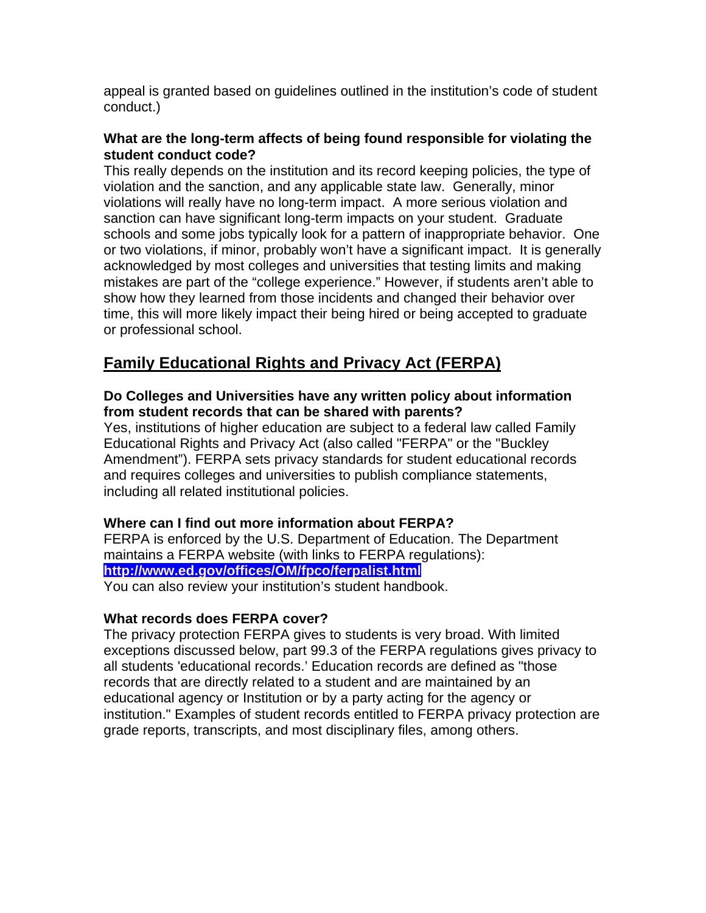appeal is granted based on guidelines outlined in the institution's code of student conduct.)

### **What are the long-term affects of being found responsible for violating the student conduct code?**

This really depends on the institution and its record keeping policies, the type of violation and the sanction, and any applicable state law. Generally, minor violations will really have no long-term impact. A more serious violation and sanction can have significant long-term impacts on your student. Graduate schools and some jobs typically look for a pattern of inappropriate behavior. One or two violations, if minor, probably won't have a significant impact. It is generally acknowledged by most colleges and universities that testing limits and making mistakes are part of the "college experience." However, if students aren't able to show how they learned from those incidents and changed their behavior over time, this will more likely impact their being hired or being accepted to graduate or professional school.

# **Family Educational Rights and Privacy Act (FERPA)**

### **Do Colleges and Universities have any written policy about information from student records that can be shared with parents?**

Yes, institutions of higher education are subject to a federal law called Family Educational Rights and Privacy Act (also called "FERPA" or the "Buckley Amendment"). FERPA sets privacy standards for student educational records and requires colleges and universities to publish compliance statements, including all related institutional policies.

## **Where can I find out more information about FERPA?**

FERPA is enforced by the U.S. Department of Education. The Department maintains a FERPA website (with links to FERPA regulations): **http://www.ed.gov/offices/OM/fpco/ferpalist.html**  You can also review your institution's student handbook.

## **What records does FERPA cover?**

The privacy protection FERPA gives to students is very broad. With limited exceptions discussed below, part 99.3 of the FERPA regulations gives privacy to all students 'educational records.' Education records are defined as "those records that are directly related to a student and are maintained by an educational agency or Institution or by a party acting for the agency or institution." Examples of student records entitled to FERPA privacy protection are grade reports, transcripts, and most disciplinary files, among others.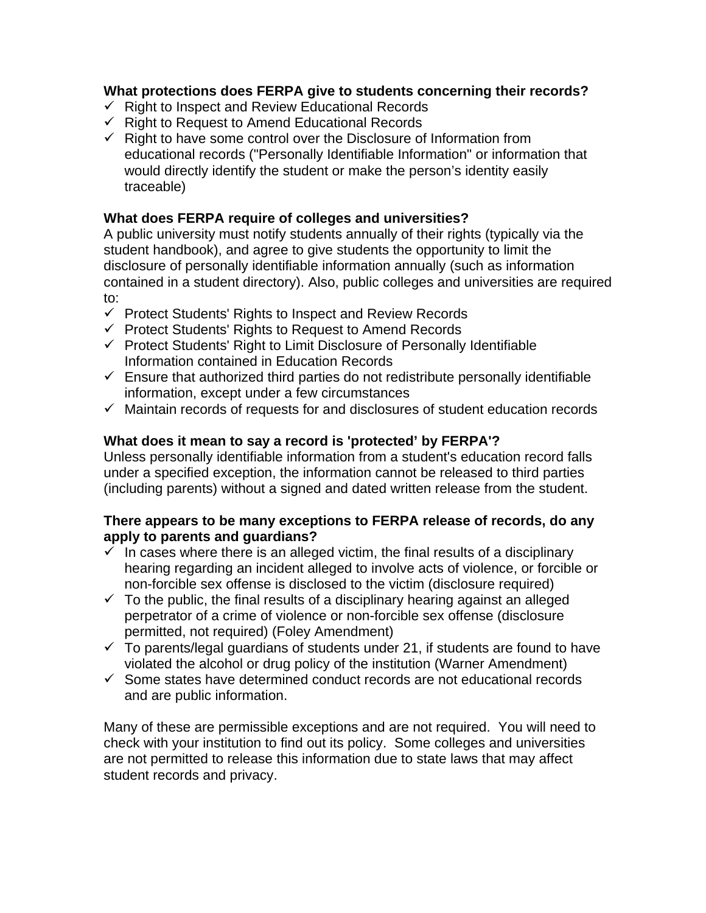### **What protections does FERPA give to students concerning their records?**

- $\checkmark$  Right to Inspect and Review Educational Records
- $\checkmark$  Right to Request to Amend Educational Records
- $\checkmark$  Right to have some control over the Disclosure of Information from educational records ("Personally Identifiable Information" or information that would directly identify the student or make the person's identity easily traceable)

### **What does FERPA require of colleges and universities?**

A public university must notify students annually of their rights (typically via the student handbook), and agree to give students the opportunity to limit the disclosure of personally identifiable information annually (such as information contained in a student directory). Also, public colleges and universities are required to:

- $\checkmark$  Protect Students' Rights to Inspect and Review Records
- $\checkmark$  Protect Students' Rights to Request to Amend Records
- $\checkmark$  Protect Students' Right to Limit Disclosure of Personally Identifiable Information contained in Education Records
- $\checkmark$  Ensure that authorized third parties do not redistribute personally identifiable information, except under a few circumstances
- $\checkmark$  Maintain records of requests for and disclosures of student education records

### **What does it mean to say a record is 'protected' by FERPA'?**

Unless personally identifiable information from a student's education record falls under a specified exception, the information cannot be released to third parties (including parents) without a signed and dated written release from the student.

#### **There appears to be many exceptions to FERPA release of records, do any apply to parents and guardians?**

- $\checkmark$  In cases where there is an alleged victim, the final results of a disciplinary hearing regarding an incident alleged to involve acts of violence, or forcible or non-forcible sex offense is disclosed to the victim (disclosure required)
- $\checkmark$  To the public, the final results of a disciplinary hearing against an alleged perpetrator of a crime of violence or non-forcible sex offense (disclosure permitted, not required) (Foley Amendment)
- $\checkmark$  To parents/legal guardians of students under 21, if students are found to have violated the alcohol or drug policy of the institution (Warner Amendment)
- $\checkmark$  Some states have determined conduct records are not educational records and are public information.

Many of these are permissible exceptions and are not required. You will need to check with your institution to find out its policy. Some colleges and universities are not permitted to release this information due to state laws that may affect student records and privacy.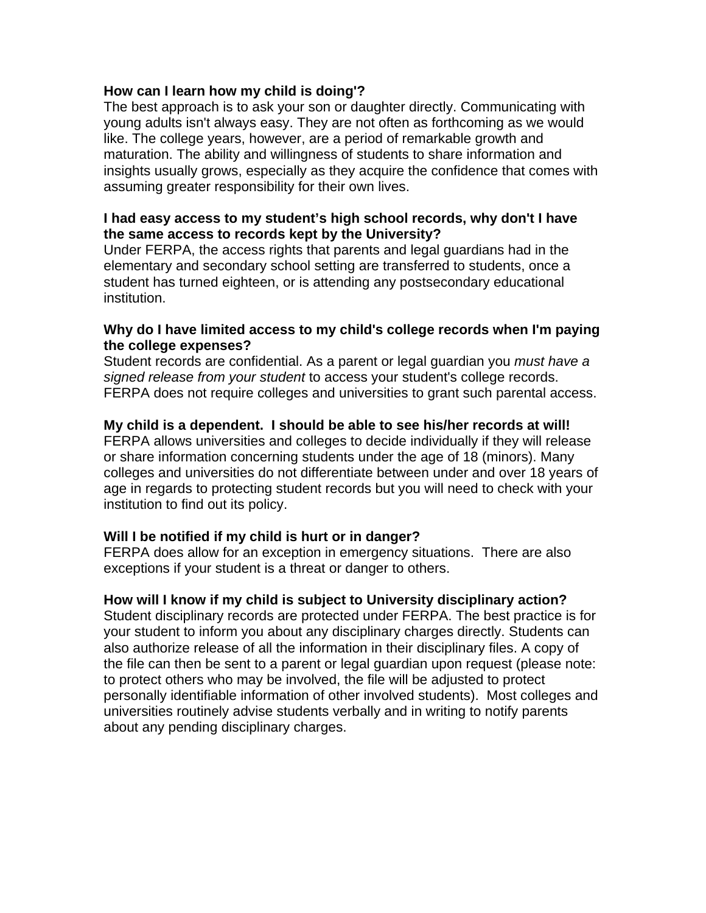#### **How can I learn how my child is doing'?**

The best approach is to ask your son or daughter directly. Communicating with young adults isn't always easy. They are not often as forthcoming as we would like. The college years, however, are a period of remarkable growth and maturation. The ability and willingness of students to share information and insights usually grows, especially as they acquire the confidence that comes with assuming greater responsibility for their own lives.

#### **I had easy access to my student's high school records, why don't I have the same access to records kept by the University?**

Under FERPA, the access rights that parents and legal guardians had in the elementary and secondary school setting are transferred to students, once a student has turned eighteen, or is attending any postsecondary educational institution.

#### **Why do I have limited access to my child's college records when I'm paying the college expenses?**

Student records are confidential. As a parent or legal guardian you *must have a signed release from your student* to access your student's college records. FERPA does not require colleges and universities to grant such parental access.

#### **My child is a dependent. I should be able to see his/her records at will!**

FERPA allows universities and colleges to decide individually if they will release or share information concerning students under the age of 18 (minors). Many colleges and universities do not differentiate between under and over 18 years of age in regards to protecting student records but you will need to check with your institution to find out its policy.

#### **Will I be notified if my child is hurt or in danger?**

FERPA does allow for an exception in emergency situations. There are also exceptions if your student is a threat or danger to others.

#### **How will I know if my child is subject to University disciplinary action?**

Student disciplinary records are protected under FERPA. The best practice is for your student to inform you about any disciplinary charges directly. Students can also authorize release of all the information in their disciplinary files. A copy of the file can then be sent to a parent or legal guardian upon request (please note: to protect others who may be involved, the file will be adjusted to protect personally identifiable information of other involved students). Most colleges and universities routinely advise students verbally and in writing to notify parents about any pending disciplinary charges.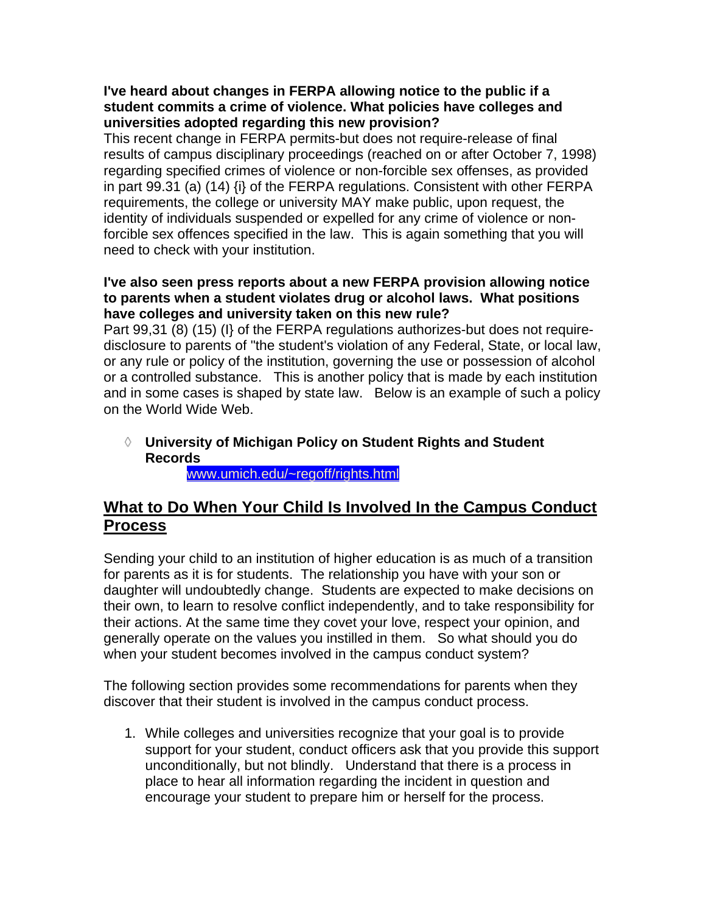### **I've heard about changes in FERPA allowing notice to the public if a student commits a crime of violence. What policies have colleges and universities adopted regarding this new provision?**

This recent change in FERPA permits-but does not require-release of final results of campus disciplinary proceedings (reached on or after October 7, 1998) regarding specified crimes of violence or non-forcible sex offenses, as provided in part 99.31 (a) (14) {i} of the FERPA regulations. Consistent with other FERPA requirements, the college or university MAY make public, upon request, the identity of individuals suspended or expelled for any crime of violence or nonforcible sex offences specified in the law. This is again something that you will need to check with your institution.

#### **I've also seen press reports about a new FERPA provision allowing notice to parents when a student violates drug or alcohol laws. What positions have colleges and university taken on this new rule?**

Part 99,31 (8) (15) (I} of the FERPA regulations authorizes-but does not requiredisclosure to parents of "the student's violation of any Federal, State, or local law, or any rule or policy of the institution, governing the use or possession of alcohol or a controlled substance. This is another policy that is made by each institution and in some cases is shaped by state law. Below is an example of such a policy on the World Wide Web.

## **University of Michigan Policy on Student Rights and Student Records**

www.umich.edu/~regoff/rights.html

## **What to Do When Your Child Is Involved In the Campus Conduct Process**

Sending your child to an institution of higher education is as much of a transition for parents as it is for students. The relationship you have with your son or daughter will undoubtedly change. Students are expected to make decisions on their own, to learn to resolve conflict independently, and to take responsibility for their actions. At the same time they covet your love, respect your opinion, and generally operate on the values you instilled in them. So what should you do when your student becomes involved in the campus conduct system?

The following section provides some recommendations for parents when they discover that their student is involved in the campus conduct process.

1. While colleges and universities recognize that your goal is to provide support for your student, conduct officers ask that you provide this support unconditionally, but not blindly. Understand that there is a process in place to hear all information regarding the incident in question and encourage your student to prepare him or herself for the process.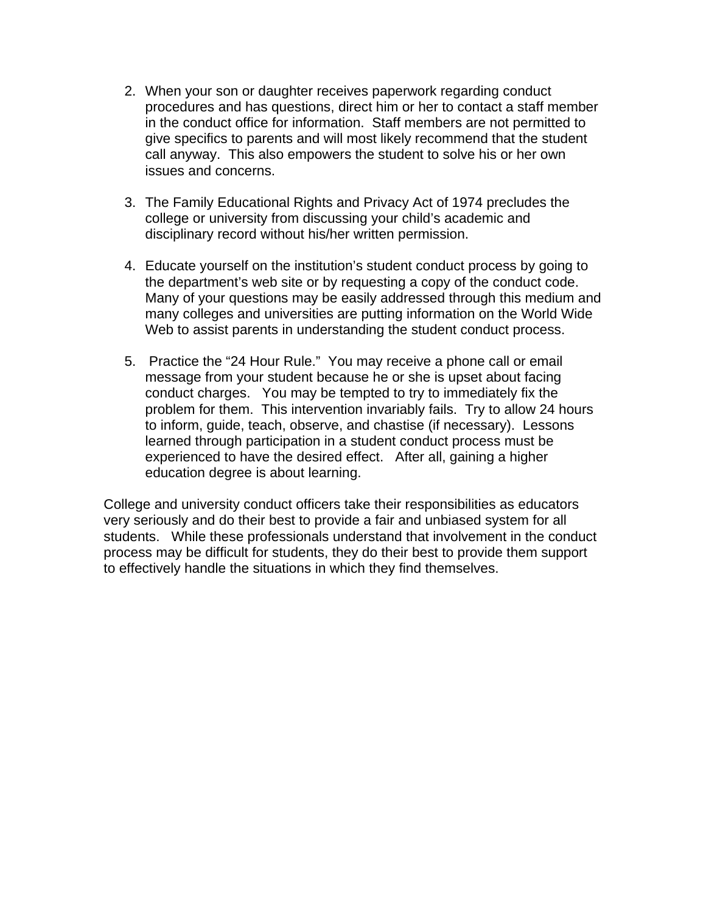- 2. When your son or daughter receives paperwork regarding conduct procedures and has questions, direct him or her to contact a staff member in the conduct office for information. Staff members are not permitted to give specifics to parents and will most likely recommend that the student call anyway. This also empowers the student to solve his or her own issues and concerns.
- 3. The Family Educational Rights and Privacy Act of 1974 precludes the college or university from discussing your child's academic and disciplinary record without his/her written permission.
- 4. Educate yourself on the institution's student conduct process by going to the department's web site or by requesting a copy of the conduct code. Many of your questions may be easily addressed through this medium and many colleges and universities are putting information on the World Wide Web to assist parents in understanding the student conduct process.
- 5. Practice the "24 Hour Rule." You may receive a phone call or email message from your student because he or she is upset about facing conduct charges. You may be tempted to try to immediately fix the problem for them. This intervention invariably fails. Try to allow 24 hours to inform, guide, teach, observe, and chastise (if necessary). Lessons learned through participation in a student conduct process must be experienced to have the desired effect. After all, gaining a higher education degree is about learning.

College and university conduct officers take their responsibilities as educators very seriously and do their best to provide a fair and unbiased system for all students. While these professionals understand that involvement in the conduct process may be difficult for students, they do their best to provide them support to effectively handle the situations in which they find themselves.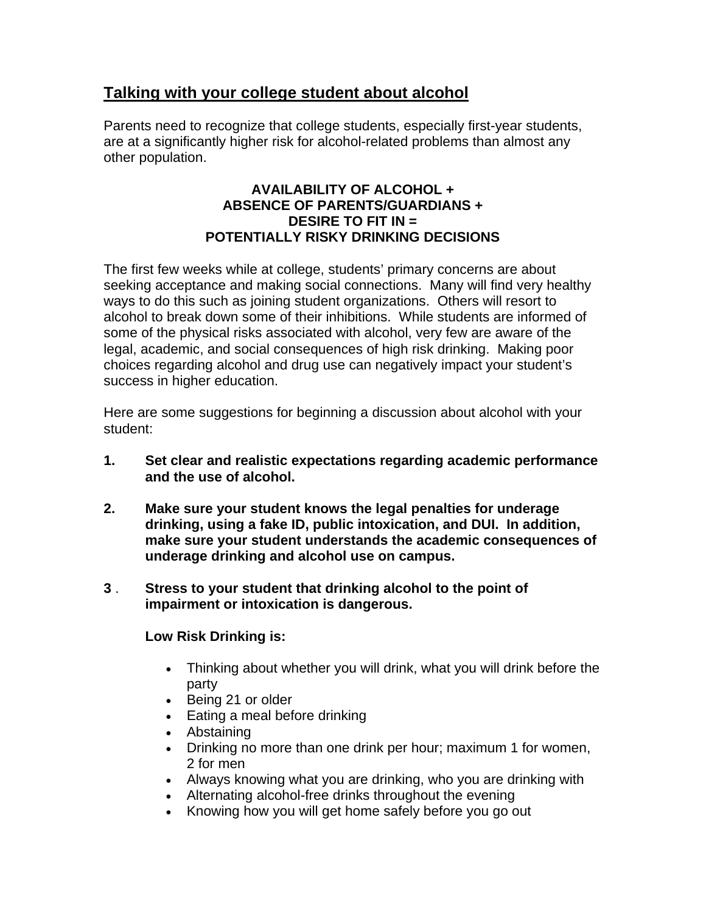## **Talking with your college student about alcohol**

Parents need to recognize that college students, especially first-year students, are at a significantly higher risk for alcohol-related problems than almost any other population.

#### **AVAILABILITY OF ALCOHOL + ABSENCE OF PARENTS/GUARDIANS + DESIRE TO FIT IN = POTENTIALLY RISKY DRINKING DECISIONS**

The first few weeks while at college, students' primary concerns are about seeking acceptance and making social connections. Many will find very healthy ways to do this such as joining student organizations. Others will resort to alcohol to break down some of their inhibitions. While students are informed of some of the physical risks associated with alcohol, very few are aware of the legal, academic, and social consequences of high risk drinking. Making poor choices regarding alcohol and drug use can negatively impact your student's success in higher education.

Here are some suggestions for beginning a discussion about alcohol with your student:

- **1. Set clear and realistic expectations regarding academic performance and the use of alcohol.**
- **2. Make sure your student knows the legal penalties for underage drinking, using a fake ID, public intoxication, and DUI. In addition, make sure your student understands the academic consequences of underage drinking and alcohol use on campus.**
- **3** . **Stress to your student that drinking alcohol to the point of impairment or intoxication is dangerous.**

## **Low Risk Drinking is:**

- Thinking about whether you will drink, what you will drink before the party
- Being 21 or older
- Eating a meal before drinking
- Abstaining
- Drinking no more than one drink per hour; maximum 1 for women, 2 for men
- Always knowing what you are drinking, who you are drinking with
- Alternating alcohol-free drinks throughout the evening
- Knowing how you will get home safely before you go out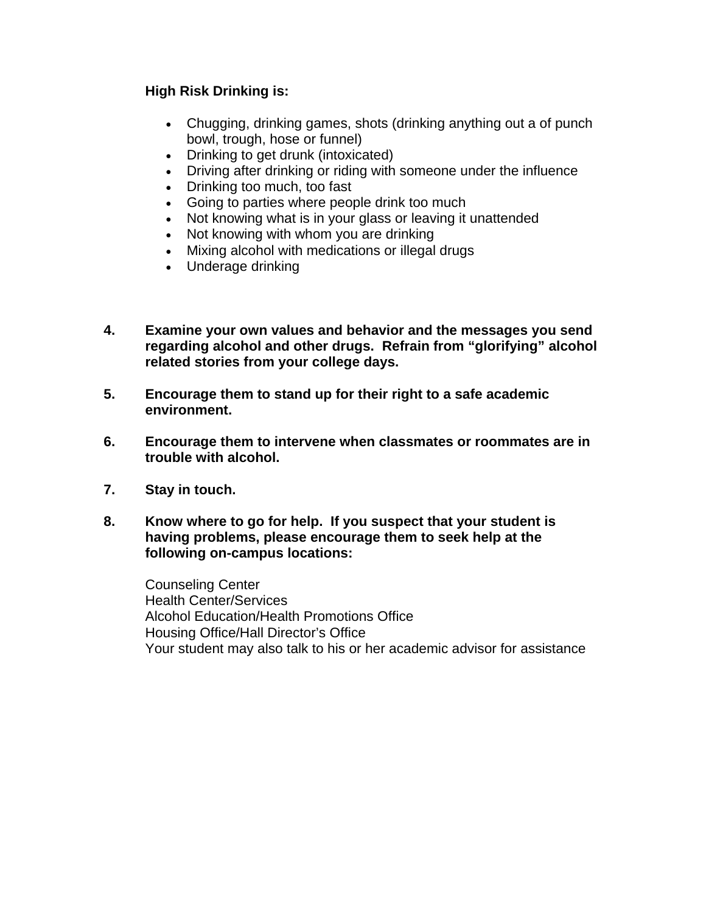### **High Risk Drinking is:**

- Chugging, drinking games, shots (drinking anything out a of punch bowl, trough, hose or funnel)
- Drinking to get drunk (intoxicated)
- Driving after drinking or riding with someone under the influence
- Drinking too much, too fast
- Going to parties where people drink too much
- Not knowing what is in your glass or leaving it unattended
- Not knowing with whom you are drinking
- Mixing alcohol with medications or illegal drugs
- Underage drinking
- **4. Examine your own values and behavior and the messages you send regarding alcohol and other drugs. Refrain from "glorifying" alcohol related stories from your college days.**
- **5. Encourage them to stand up for their right to a safe academic environment.**
- **6. Encourage them to intervene when classmates or roommates are in trouble with alcohol.**
- **7. Stay in touch.**
- **8. Know where to go for help. If you suspect that your student is having problems, please encourage them to seek help at the following on-campus locations:**

Counseling Center Health Center/Services Alcohol Education/Health Promotions Office Housing Office/Hall Director's Office Your student may also talk to his or her academic advisor for assistance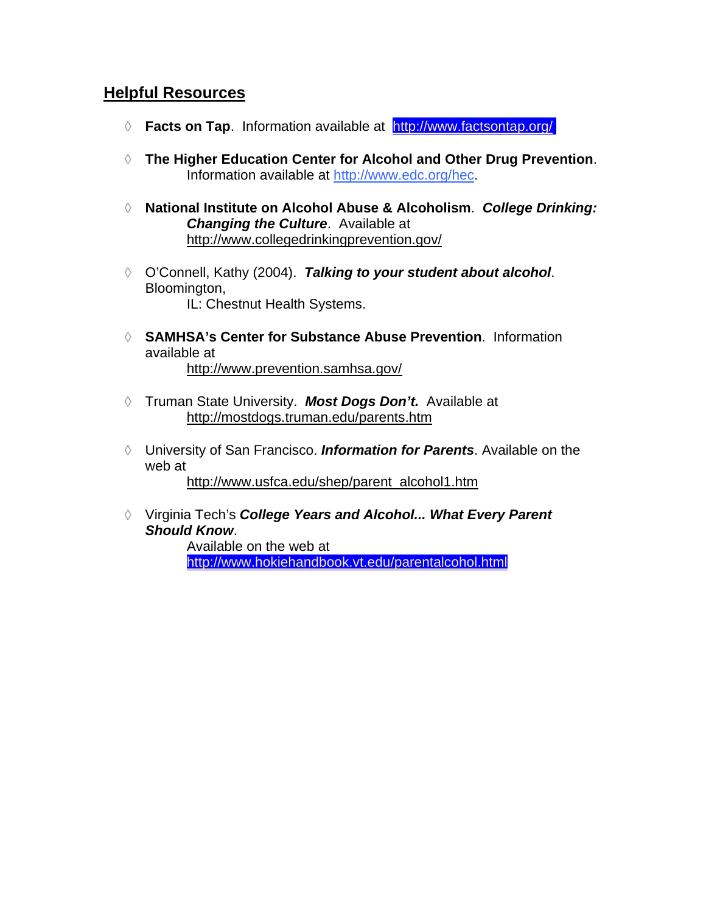## **Helpful Resources**

- **Facts on Tap**. Information available at http://www.factsontap.org/.
- **The Higher Education Center for Alcohol and Other Drug Prevention**. Information available at http://www.edc.org/hec.
- **National Institute on Alcohol Abuse & Alcoholism**. *College Drinking: Changing the Culture*. Available at http://www.collegedrinkingprevention.gov/
- O'Connell, Kathy (2004). *Talking to your student about alcohol*. Bloomington, IL: Chestnut Health Systems.
- **SAMHSA's Center for Substance Abuse Prevention**. Information available at http://www.prevention.samhsa.gov/
- Truman State University. *Most Dogs Don't.* Available at http://mostdogs.truman.edu/parents.htm
- University of San Francisco. *Information for Parents*. Available on the web at

http://www.usfca.edu/shep/parent\_alcohol1.htm

Virginia Tech's *College Years and Alcohol... What Every Parent Should Know*.

> Available on the web at http://www.hokiehandbook.vt.edu/parentalcohol.html